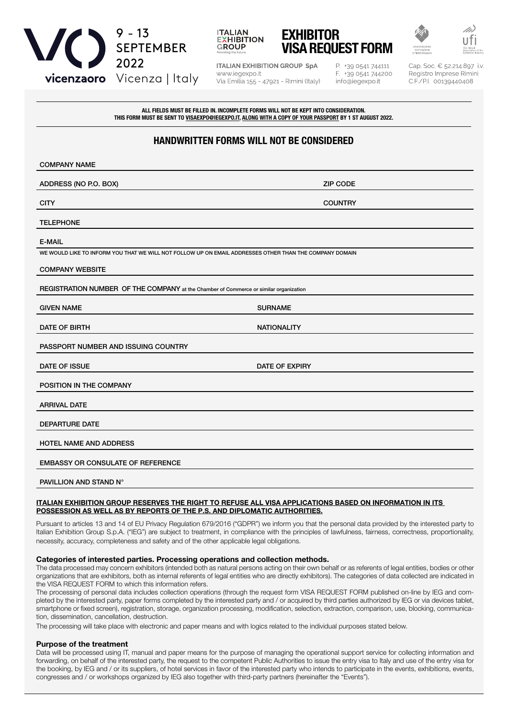





**ITALIAN EXHIBITION GROUP SpA** www.iegexpo.it Via Emilia 155 - 47921 - Rimini (Italy) P. +39 0541 744111 F. +39 0541 744200 info@iegexpo.it

Cap. Soc. € 52.214.897 i.v Registro Imprese Rimini C.F./P.I. 00139440408

ALL FIELDS MUST BE FILLED IN. INCOMPLETE FORMS WILL NOT BE KEPT INTO CONSIDERATION. THIS FORM MUST BE SENT TO VISAEXPO@IEGEXPO.IT, ALONG WITH A COPY OF YOUR PASSPORT BY 1 ST AUGUST 2022.

# HANDWRITTEN FORMS WILL NOT BE CONSIDERED

| <b>COMPANY NAME</b>                                                                                     |                       |
|---------------------------------------------------------------------------------------------------------|-----------------------|
| ADDRESS (NO P.O. BOX)                                                                                   | <b>ZIP CODE</b>       |
| <b>CITY</b>                                                                                             | <b>COUNTRY</b>        |
| <b>TELEPHONE</b>                                                                                        |                       |
| <b>E-MAIL</b>                                                                                           |                       |
| WE WOULD LIKE TO INFORM YOU THAT WE WILL NOT FOLLOW UP ON EMAIL ADDRESSES OTHER THAN THE COMPANY DOMAIN |                       |
| <b>COMPANY WEBSITE</b>                                                                                  |                       |
| REGISTRATION NUMBER OF THE COMPANY at the Chamber of Commerce or similar organization                   |                       |
| <b>GIVEN NAME</b>                                                                                       | <b>SURNAME</b>        |
| DATE OF BIRTH                                                                                           | <b>NATIONALITY</b>    |
| PASSPORT NUMBER AND ISSUING COUNTRY                                                                     |                       |
| DATE OF ISSUE                                                                                           | <b>DATE OF EXPIRY</b> |
| POSITION IN THE COMPANY                                                                                 |                       |
| <b>ARRIVAL DATE</b>                                                                                     |                       |
| <b>DEPARTURE DATE</b>                                                                                   |                       |
| <b>HOTEL NAME AND ADDRESS</b>                                                                           |                       |
| <b>EMBASSY OR CONSULATE OF REFERENCE</b>                                                                |                       |
| PAVILLION AND STAND N°                                                                                  |                       |

#### ITALIAN EXHIBITION GROUP RESERVES THE RIGHT TO REFUSE ALL VISA APPLICATIONS BASED ON INFORMATION IN ITS POSSESSION AS WELL AS BY REPORTS OF THE P.S. AND DIPLOMATIC AUTHORITIES.

Pursuant to articles 13 and 14 of EU Privacy Regulation 679/2016 ("GDPR") we inform you that the personal data provided by the interested party to Italian Exhibition Group S.p.A. ("IEG") are subject to treatment, in compliance with the principles of lawfulness, fairness, correctness, proportionality, necessity, accuracy, completeness and safety and of the other applicable legal obligations.

## Categories of interested parties. Processing operations and collection methods.

The data processed may concern exhibitors (intended both as natural persons acting on their own behalf or as referents of legal entities, bodies or other organizations that are exhibitors, both as internal referents of legal entities who are directly exhibitors). The categories of data collected are indicated in the VISA REQUEST FORM to which this information refers.

The processing of personal data includes collection operations (through the request form VISA REQUEST FORM published on-line by IEG and completed by the interested party, paper forms completed by the interested party and / or acquired by third parties authorized by IEG or via devices tablet, smartphone or fixed screen), registration, storage, organization processing, modification, selection, extraction, comparison, use, blocking, communication, dissemination, cancellation, destruction.

The processing will take place with electronic and paper means and with logics related to the individual purposes stated below.

## Purpose of the treatment

Data will be processed using IT, manual and paper means for the purpose of managing the operational support service for collecting information and forwarding, on behalf of the interested party, the request to the competent Public Authorities to issue the entry visa to Italy and use of the entry visa for the booking, by IEG and / or its suppliers, of hotel services in favor of the interested party who intends to participate in the events, exhibitions, events, congresses and / or workshops organized by IEG also together with third-party partners (hereinafter the "Events").